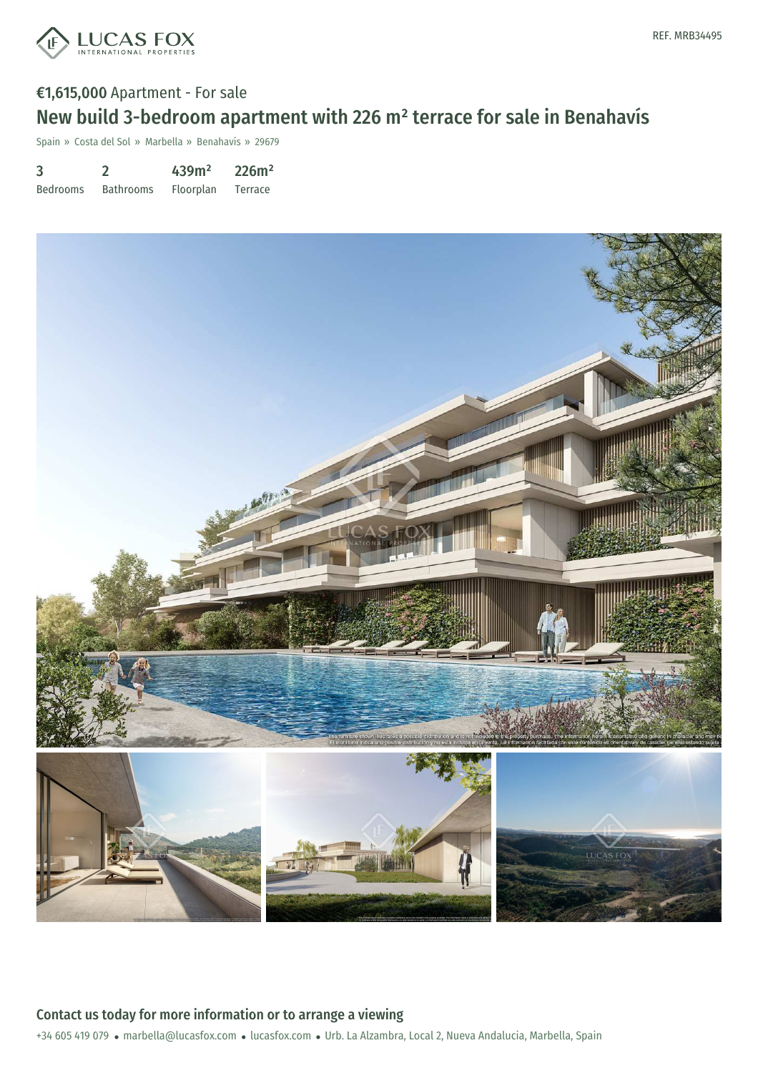

# €1,615,000 Apartment - For sale New build 3-bedroom apartment with 226 m² terrace for sale in Benahavís

Spain » Costa del Sol » Marbella » Benahavís » 29679

| 3               |                  | 439m <sup>2</sup> | 226m <sup>2</sup> |
|-----------------|------------------|-------------------|-------------------|
| <b>Bedrooms</b> | <b>Bathrooms</b> | Floorplan         | Terrace           |

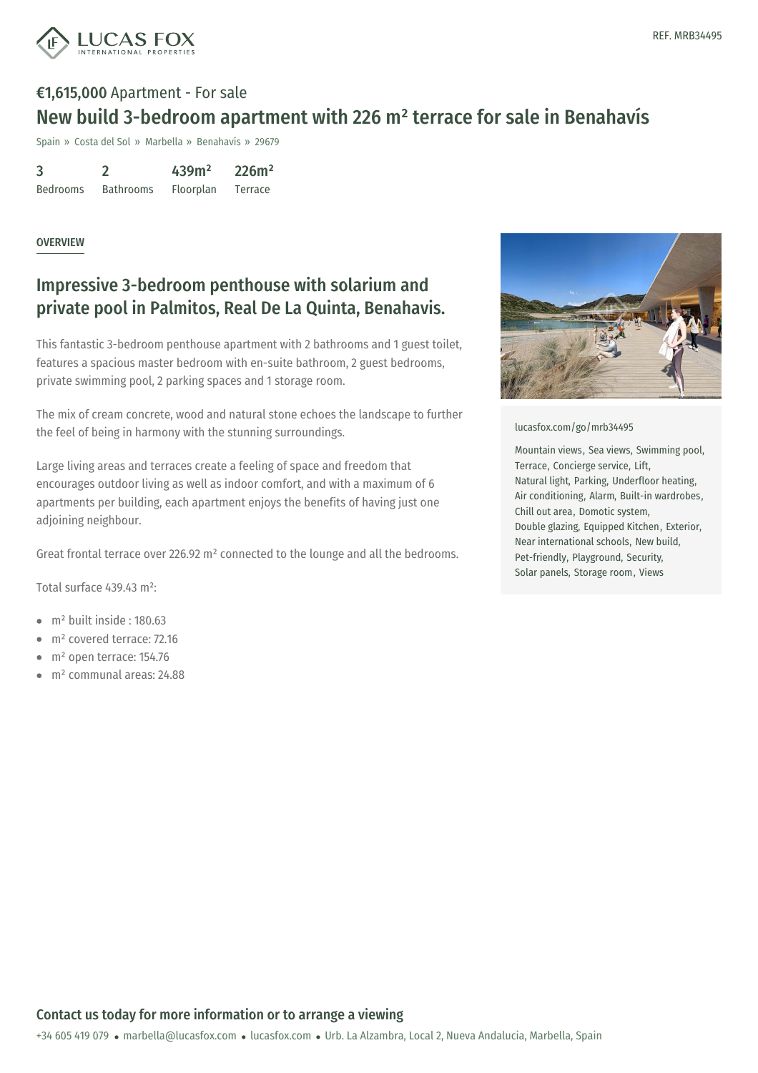

# €1,615,000 Apartment - For sale New build 3-bedroom apartment with 226 m² terrace for sale in Benahavís

Spain » Costa del Sol » Marbella » Benahavís » 29679

3 Bedrooms 2 Bathrooms 439m² Floorplan 226m² Terrace

#### **OVERVIEW**

## Impressive 3-bedroom penthouse with solarium and private pool in Palmitos, Real De La Quinta, Benahavis.

This fantastic 3-bedroom penthouse apartment with 2 bathrooms and 1 guest toilet, features a spacious master bedroom with en-suite bathroom, 2 guest bedrooms, private swimming pool, 2 parking spaces and 1 storage room.

The mix of cream concrete, wood and natural stone echoes the landscape to further the feel of being in harmony with the stunning surroundings.

Large living areas and terraces create a feeling of space and freedom that encourages outdoor living as well as indoor comfort, and with a maximum of 6 apartments per building, each apartment enjoys the benefits of having just one adjoining neighbour.

Great frontal terrace over 226.92 m² connected to the lounge and all the bedrooms.

Total surface 439.43 m²:

- $\bullet$  m<sup>2</sup> built inside  $\cdot$  180.63
- m² covered terrace: 72.16
- $\bullet$  m<sup>2</sup> open terrace: 154.76
- m² communal areas: 24.88



[lucasfox.com/go/mrb34495](https://www.lucasfox.com/go/mrb34495)

Mountain views, Sea views, Swimming pool, Terrace, Concierge service, Lift, Natural light, Parking, Underfloor heating, Air conditioning, Alarm, Built-in wardrobes, Chill out area, Domotic system, Double glazing, Equipped Kitchen, Exterior, Near international schools, New build, Pet-friendly, Playground, Security, Solar panels, Storage room, Views